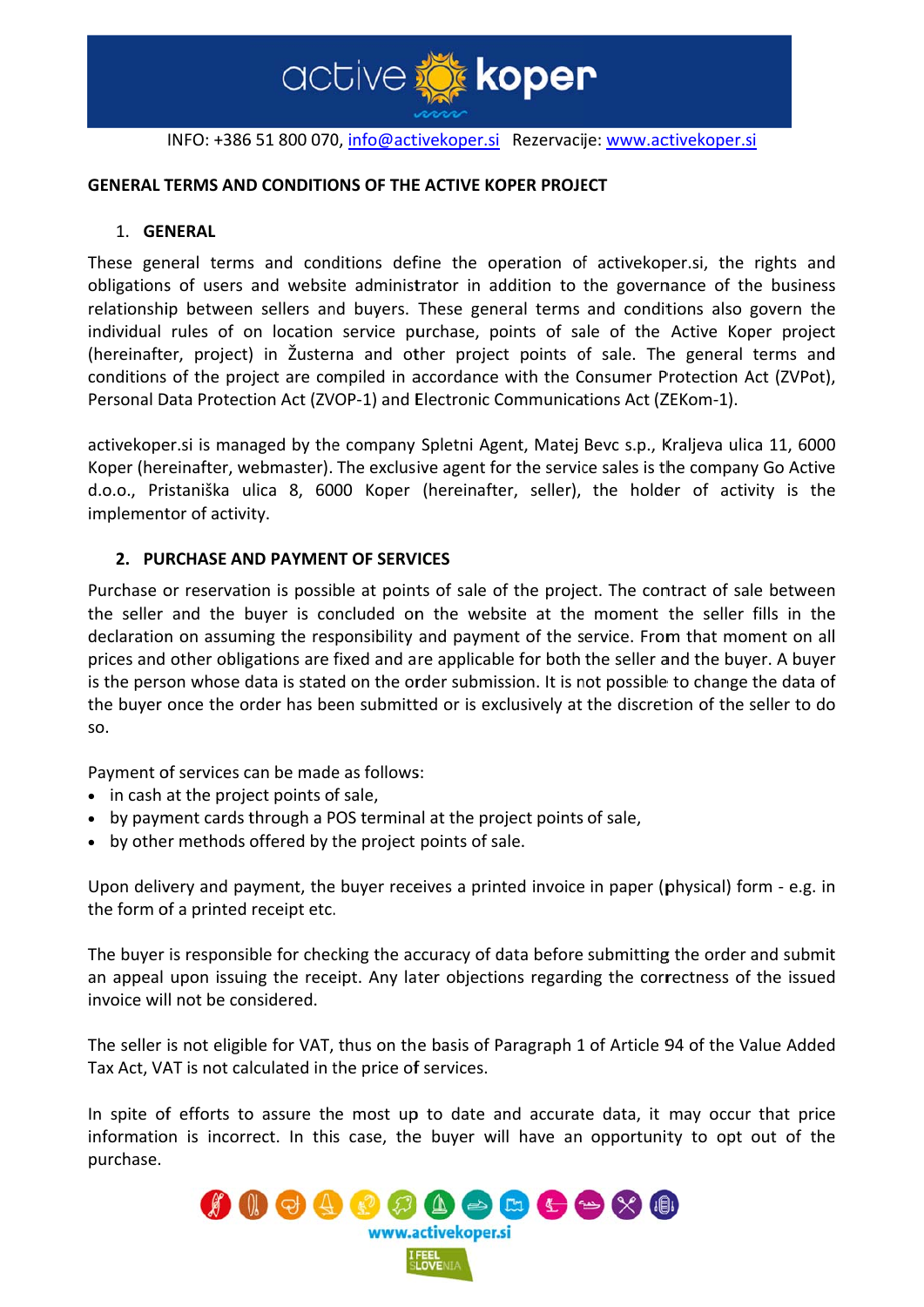

active to koper

### **GENERAL TERMS AND CONDITIONS OF THE ACTIVE KOPER PROJECT**

#### 1. GENERAL

These general terms and conditions define the operation of activekoper.si, the rights and obligations of users and website administrator in addition to the governance of the business relationship between sellers and buyers. These general terms and conditions also govern the individual rules of on location service purchase, points of sale of the Active Koper project (hereinafter, project) in Žusterna and other project points of sale. The general terms and conditions of the project are compiled in accordance with the Consumer Protection Act (ZVPot), Personal Data Protection Act (ZVOP-1) and Electronic Communications Act (ZEKom-1).

activekoper.si is managed by the company Spletni Agent, Matej Bevc s.p., Kraljeva ulica 11, 6000 Koper (hereinafter, webmaster). The exclusive agent for the service sales is the company Go Active d.o.o., Pristaniška ulica 8, 6000 Koper (hereinafter, seller), the holder of activity is the implementor of activity.

### 2. PURCHASE AND PAYMENT OF SERVICES

Purchase or reservation is possible at points of sale of the project. The contract of sale between the seller and the buyer is concluded on the website at the moment the seller fills in the declaration on assuming the responsibility and payment of the service. From that moment on all prices and other obligations are fixed and are applicable for both the seller and the buyer. A buyer is the person whose data is stated on the order submission. It is not possible to change the data of the buyer once the order has been submitted or is exclusively at the discretion of the seller to do SO.

Payment of services can be made as follows:

- in cash at the project points of sale,
- by payment cards through a POS terminal at the project points of sale,
- by other methods offered by the project points of sale.

Upon delivery and payment, the buyer receives a printed invoice in paper (physical) form - e.g. in the form of a printed receipt etc.

The buyer is responsible for checking the accuracy of data before submitting the order and submit an appeal upon issuing the receipt. Any later objections regarding the correctness of the issued invoice will not be considered

The seller is not eligible for VAT, thus on the basis of Paragraph 1 of Article 94 of the Value Added Tax Act, VAT is not calculated in the price of services.

In spite of efforts to assure the most up to date and accurate data, it may occur that price information is incorrect. In this case, the buyer will have an opportunity to opt out of the purchase.

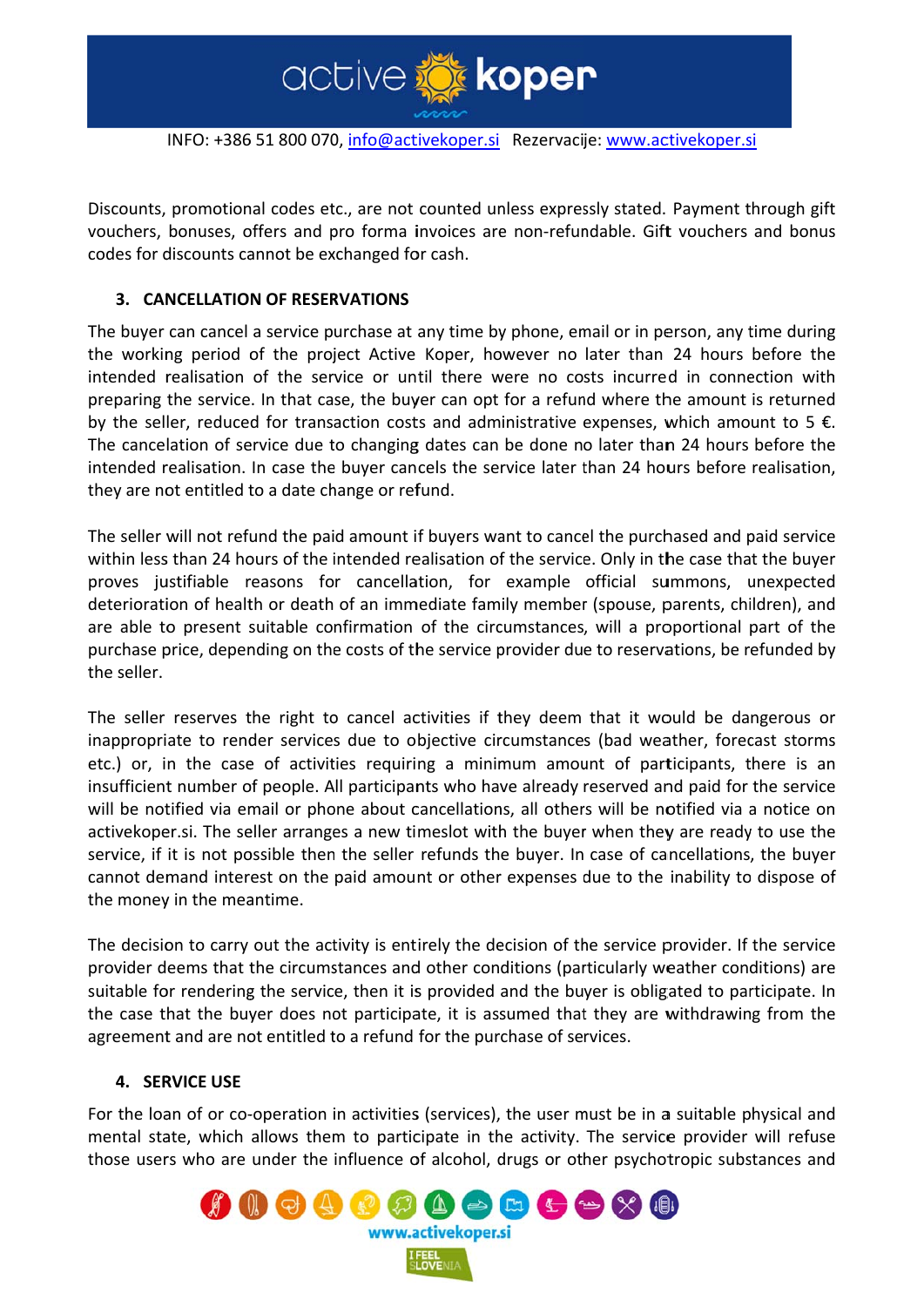

INFO: +386 51 800 070, <u>info@activekoper.si</u> Rezervacije: <u>www.activekoper.si</u>

Discounts, promotional codes etc., are not counted unless expressly stated. Payment through gift vouchers, bonuses, offers and pro forma invoices are non-refundable. Gift vouchers and bonus codes for discounts cannot be exchanged for cash.

# **3. CANCELLATION OF RESERVATIONS**

The buyer can cancel a service purchase at any time by phone, email or in person, any time during the working period of the project Active Koper, however no later than 24 hours before the intended realisation of the service or until there were no costs incurred in connection with preparing the service. In that case, the buyer can opt for a refund where the amount is returned by the seller, reduced for transaction costs and administrative expenses, which amount to 5 €. The cancelation of service due to changing dates can be done no later than 24 hours before the intended realisation. In case the buyer cancels the service later than 24 hours before realisation, they are not entitled to a date change or refund. ft<br>us<br>gehde.

The seller will not refund the paid amount if buyers want to cancel the purchased and paid service within less than 24 hours of the intended realisation of the service. Only in the case that the buyer proves justifiable reasons for cancellation, for example official summons, unexpected deterioration of health or death of an immediate family member (spouse, parents, children), and are able to present suitable confirmation of the circumstances, will a proportional part of the purchase price, depending on the costs of the service provider due to reservations, be refunded by the seller.

The seller reserves the right to cancel activities if they deem that it would be dangerous or inappropriate to render services due to objective circumstances (bad weather, forecast storms etc.) or, in the case of activities requiring a minimum amount of participants, there is an insufficient number of people. All participants who have already reserved and paid for the service will be notified via email or phone about cancellations, all others will be notified via a notice on activekoper.si. The seller arranges a new timeslot with the buyer when they are ready to use the service, if it is not possible then the seller refunds the buyer. In case of cancellations, the buyer cannot demand interest on the paid amount or other expenses due to the inability to dispose of the money in the meantime. e,erddeyrsnenerfeenede<br>a,erddeyrsnenerfeene<br>deededed

The decision to carry out the activity is entirely the decision of the service provider. If the service provider deems that the circumstances and other conditions (particularly weather conditions) are suitable for rendering the service, then it is provided and the buyer is obligated to participate. In the case that the buyer does not participate, it is assumed that they are withdrawing from the agreement and are not entitled to a refund for the purchase of services.

#### **4. SER RVICE USE**

For the loan of or co-operation in activities (services), the user must be in a suitable physical and mental state, which allows them to participate in the activity. The service provider will refuse those users who are under the influence of alcohol, drugs or other psychotropic substances and